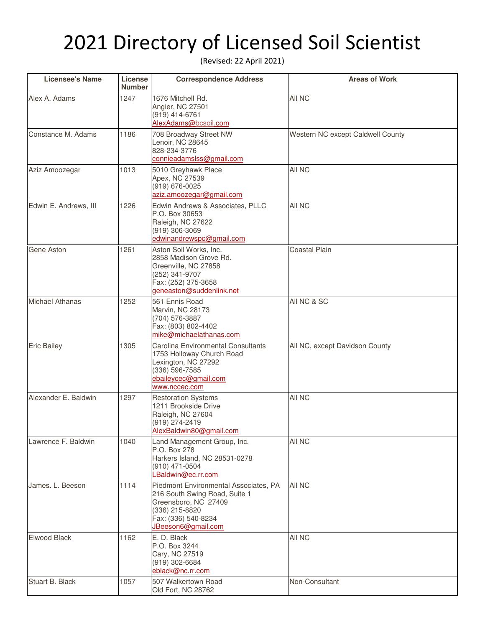## 2021 Directory of Licensed Soil Scientist

(Revised: 22 April 2021)

| <b>Licensee's Name</b> | License<br><b>Number</b> | <b>Correspondence Address</b>                                                                                                                                 | <b>Areas of Work</b>              |
|------------------------|--------------------------|---------------------------------------------------------------------------------------------------------------------------------------------------------------|-----------------------------------|
| Alex A. Adams          | 1247                     | 1676 Mitchell Rd.<br>Angier, NC 27501<br>(919) 414-6761<br>AlexAdams@bcsoil.com                                                                               | All NC                            |
| Constance M. Adams     | 1186                     | 708 Broadway Street NW<br>Lenoir, NC 28645<br>828-234-3776<br>connieadamslss@gmail.com                                                                        | Western NC except Caldwell County |
| Aziz Amoozegar         | 1013                     | 5010 Greyhawk Place<br>Apex, NC 27539<br>(919) 676-0025<br>aziz.amoozegar@gmail.com                                                                           | All NC                            |
| Edwin E. Andrews, III  | 1226                     | Edwin Andrews & Associates, PLLC<br>P.O. Box 30653<br>Raleigh, NC 27622<br>(919) 306-3069<br>edwinandrewspc@gmail.com                                         | All NC                            |
| Gene Aston             | 1261                     | Aston Soil Works, Inc.<br>2858 Madison Grove Rd.<br>Greenville, NC 27858<br>(252) 341-9707<br>Fax: (252) 375-3658<br>geneaston@suddenlink.net                 | <b>Coastal Plain</b>              |
| <b>Michael Athanas</b> | 1252                     | 561 Ennis Road<br>Marvin, NC 28173<br>(704) 576-3887<br>Fax: (803) 802-4402<br>mike@michaelathanas.com                                                        | All NC & SC                       |
| <b>Eric Bailey</b>     | 1305                     | Carolina Environmental Consultants<br>1753 Holloway Church Road<br>Lexington, NC 27292<br>(336) 596-7585<br>ebaileycec@gmail.com<br>www.nccec.com             | All NC, except Davidson County    |
| Alexander E. Baldwin   | 1297                     | <b>Restoration Systems</b><br>1211 Brookside Drive<br>Raleigh, NC 27604<br>(919) 274-2419<br>AlexBaldwin80@gmail.com                                          | All NC                            |
| Lawrence F. Baldwin    | 1040                     | Land Management Group, Inc.<br>P.O. Box 278<br>Harkers Island, NC 28531-0278<br>(910) 471-0504<br>LBaldwin@ec.rr.com                                          | All NC                            |
| James. L. Beeson       | 1114                     | Piedmont Environmental Associates, PA<br>216 South Swing Road, Suite 1<br>Greensboro, NC 27409<br>(336) 215-8820<br>Fax: (336) 540-8234<br>JBeeson6@gmail.com | All NC                            |
| Elwood Black           | 1162                     | E. D. Black<br>P.O. Box 3244<br>Cary, NC 27519<br>(919) 302-6684<br>eblack@nc.rr.com                                                                          | All NC                            |
| Stuart B. Black        | 1057                     | 507 Walkertown Road<br>Old Fort, NC 28762                                                                                                                     | Non-Consultant                    |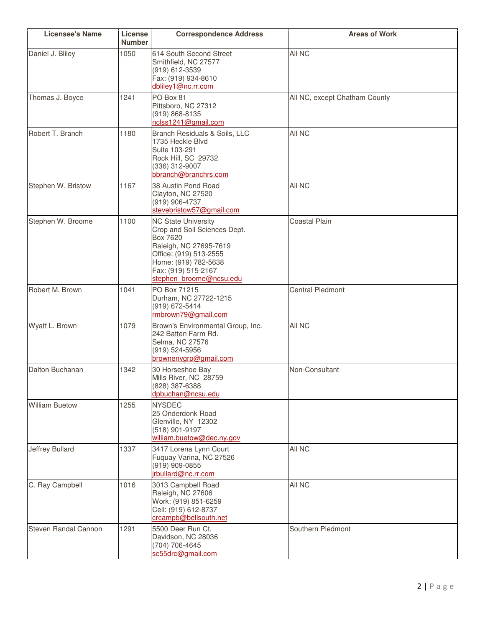| <b>Licensee's Name</b> | License<br><b>Number</b> | <b>Correspondence Address</b>                                                                                                                                                                        | <b>Areas of Work</b>          |
|------------------------|--------------------------|------------------------------------------------------------------------------------------------------------------------------------------------------------------------------------------------------|-------------------------------|
| Daniel J. Bliley       | 1050                     | 614 South Second Street<br>Smithfield, NC 27577<br>(919) 612-3539<br>Fax: (919) 934-8610<br>dbliley1@nc.rr.com                                                                                       | All NC                        |
| Thomas J. Boyce        | 1241                     | PO Box 81<br>Pittsboro, NC 27312<br>(919) 868-8135<br>nclss1241@gmail.com                                                                                                                            | All NC, except Chatham County |
| Robert T. Branch       | 1180                     | Branch Residuals & Soils, LLC<br>1735 Heckle Blvd<br>Suite 103-291<br>Rock Hill, SC 29732<br>(336) 312-9007<br>bbranch@branchrs.com                                                                  | All NC                        |
| Stephen W. Bristow     | 1167                     | 38 Austin Pond Road<br>Clayton, NC 27520<br>(919) 906-4737<br>stevebristow57@gmail.com                                                                                                               | All NC                        |
| Stephen W. Broome      | 1100                     | <b>NC State University</b><br>Crop and Soil Sciences Dept.<br>Box 7620<br>Raleigh, NC 27695-7619<br>Office: (919) 513-2555<br>Home: (919) 782-5638<br>Fax: (919) 515-2167<br>stephen broome@ncsu.edu | <b>Coastal Plain</b>          |
| Robert M. Brown        | 1041                     | PO Box 71215<br>Durham, NC 27722-1215<br>(919) 672-5414<br>rmbrown79@gmail.com                                                                                                                       | <b>Central Piedmont</b>       |
| Wyatt L. Brown         | 1079                     | Brown's Environmental Group, Inc.<br>242 Batten Farm Rd.<br>Selma, NC 27576<br>(919) 524-5956<br>brownenvgrp@gmail.com                                                                               | All NC                        |
| Dalton Buchanan        | 1342                     | 30 Horseshoe Bay<br>Mills River, NC 28759<br>(828) 387-6388<br>dpbuchan@ncsu.edu                                                                                                                     | Non-Consultant                |
| <b>William Buetow</b>  | 1255                     | <b>NYSDEC</b><br>25 Onderdonk Road<br>Glenville, NY 12302<br>(518) 901-9197<br>william.buetow@dec.ny.gov                                                                                             |                               |
| Jeffrey Bullard        | 1337                     | 3417 Lorena Lynn Court<br>Fuquay Varina, NC 27526<br>(919) 909-0855<br>irbullard@nc.rr.com                                                                                                           | All NC                        |
| C. Ray Campbell        | 1016                     | 3013 Campbell Road<br>Raleigh, NC 27606<br>Work: (919) 851-6259<br>Cell: (919) 612-8737<br>crcampb@bellsouth.net                                                                                     | All NC                        |
| Steven Randal Cannon   | 1291                     | 5500 Deer Run Ct.<br>Davidson, NC 28036<br>(704) 706-4645<br>sc55drc@gmail.com                                                                                                                       | Southern Piedmont             |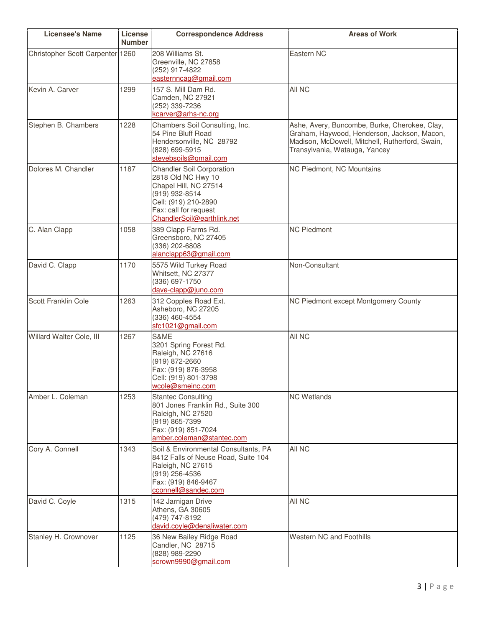| <b>Licensee's Name</b>           | License<br><b>Number</b> | <b>Correspondence Address</b>                                                                                                                                                    | <b>Areas of Work</b>                                                                                                                                                             |
|----------------------------------|--------------------------|----------------------------------------------------------------------------------------------------------------------------------------------------------------------------------|----------------------------------------------------------------------------------------------------------------------------------------------------------------------------------|
| Christopher Scott Carpenter 1260 |                          | 208 Williams St.<br>Greenville, NC 27858<br>(252) 917-4822<br>easternncag@gmail.com                                                                                              | Eastern NC                                                                                                                                                                       |
| Kevin A. Carver                  | 1299                     | 157 S. Mill Dam Rd.<br>Camden, NC 27921<br>(252) 339-7236<br>kcarver@arhs-nc.org                                                                                                 | All NC                                                                                                                                                                           |
| Stephen B. Chambers              | 1228                     | Chambers Soil Consulting, Inc.<br>54 Pine Bluff Road<br>Hendersonville, NC 28792<br>(828) 699-5915<br>stevebsoils@gmail.com                                                      | Ashe, Avery, Buncombe, Burke, Cherokee, Clay,<br>Graham, Haywood, Henderson, Jackson, Macon,<br>Madison, McDowell, Mitchell, Rutherford, Swain,<br>Transylvania, Watauga, Yancey |
| Dolores M. Chandler              | 1187                     | <b>Chandler Soil Corporation</b><br>2818 Old NC Hwy 10<br>Chapel Hill, NC 27514<br>(919) 932-8514<br>Cell: (919) 210-2890<br>Fax: call for request<br>ChandlerSoil@earthlink.net | NC Piedmont, NC Mountains                                                                                                                                                        |
| C. Alan Clapp                    | 1058                     | 389 Clapp Farms Rd.<br>Greensboro, NC 27405<br>(336) 202-6808<br>alanclapp63@gmail.com                                                                                           | <b>NC Piedmont</b>                                                                                                                                                               |
| David C. Clapp                   | 1170                     | 5575 Wild Turkey Road<br>Whitsett, NC 27377<br>(336) 697-1750<br>dave-clapp@juno.com                                                                                             | Non-Consultant                                                                                                                                                                   |
| Scott Franklin Cole              | 1263                     | 312 Copples Road Ext.<br>Asheboro, NC 27205<br>(336) 460-4554<br>sfc1021@gmail.com                                                                                               | NC Piedmont except Montgomery County                                                                                                                                             |
| Willard Walter Cole, III         | 1267                     | S&ME<br>3201 Spring Forest Rd.<br>Raleigh, NC 27616<br>(919) 872-2660<br>Fax: (919) 876-3958<br>Cell: (919) 801-3798<br>wcole@smeinc.com                                         | All NC                                                                                                                                                                           |
| Amber L. Coleman                 | 1253                     | <b>Stantec Consulting</b><br>801 Jones Franklin Rd., Suite 300<br>Raleigh, NC 27520<br>(919) 865-7399<br>Fax: (919) 851-7024<br>amber.coleman@stantec.com                        | <b>NC Wetlands</b>                                                                                                                                                               |
| Cory A. Connell                  | 1343                     | Soil & Environmental Consultants, PA<br>8412 Falls of Neuse Road, Suite 104<br>Raleigh, NC 27615<br>(919) 256-4536<br>Fax: (919) 846-9467<br>cconnell@sandec.com                 | All NC                                                                                                                                                                           |
| David C. Coyle                   | 1315                     | 142 Jarnigan Drive<br>Athens, GA 30605<br>(479) 747-8192<br>david.coyle@denaliwater.com                                                                                          | All NC                                                                                                                                                                           |
| Stanley H. Crownover             | 1125                     | 36 New Bailey Ridge Road<br>Candler, NC 28715<br>(828) 989-2290<br>scrown9990@gmail.com                                                                                          | <b>Western NC and Foothills</b>                                                                                                                                                  |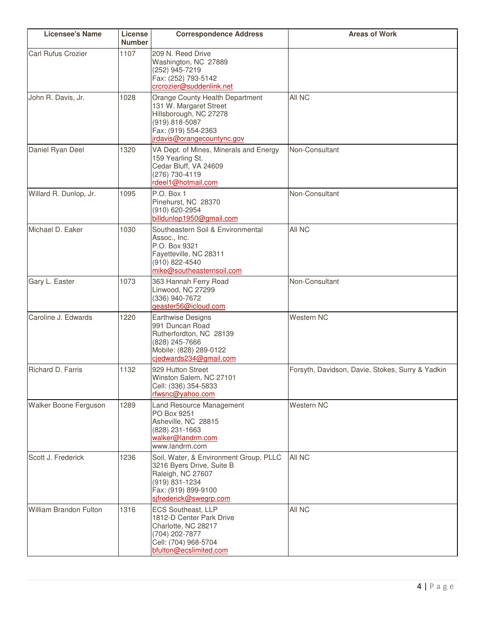| <b>Licensee's Name</b>        | License<br><b>Number</b> | <b>Correspondence Address</b>                                                                                                                               | <b>Areas of Work</b>                             |
|-------------------------------|--------------------------|-------------------------------------------------------------------------------------------------------------------------------------------------------------|--------------------------------------------------|
| <b>Carl Rufus Crozier</b>     | 1107                     | 209 N. Reed Drive<br>Washington, NC 27889<br>(252) 945-7219<br>Fax: (252) 793-5142<br>crcrozier@suddenlink.net                                              |                                                  |
| John R. Davis, Jr.            | 1028                     | Orange County Health Department<br>131 W. Margaret Street<br>Hillsborough, NC 27278<br>(919) 818-5087<br>Fax: (919) 554-2363<br>jrdavis@orangecountync.gov  | All NC                                           |
| Daniel Ryan Deel              | 1320                     | VA Dept. of Mines, Minerals and Energy<br>159 Yearling St.<br>Cedar Bluff, VA 24609<br>(276) 730-4119<br>rdeel1@hotmail.com                                 | Non-Consultant                                   |
| Willard R. Dunlop, Jr.        | 1095                     | P.O. Box 1<br>Pinehurst, NC 28370<br>(910) 620-2954<br>billdunlop1950@gmail.com                                                                             | Non-Consultant                                   |
| Michael D. Eaker              | 1030                     | Southeastern Soil & Environmental<br>Assoc., Inc.<br>P.O. Box 9321<br>Fayetteville, NC 28311<br>(910) 822-4540<br>mike@southeasternsoil.com                 | All NC                                           |
| Gary L. Easter                | 1073                     | 363 Hannah Ferry Road<br>Linwood, NC 27299<br>(336) 940-7672<br>geaster56@icloud.com                                                                        | Non-Consultant                                   |
| Caroline J. Edwards           | 1220                     | <b>Earthwise Designs</b><br>991 Duncan Road<br>Rutherfordton, NC 28139<br>(828) 245-7666<br>Mobile: (828) 289-0122<br>cjedwards234@gmail.com                | Western NC                                       |
| Richard D. Farris             | 1132                     | 929 Hutton Street<br>Winston Salem, NC 27101<br>Cell: (336) 354-5833<br>rfwsnc@yahoo.com                                                                    | Forsyth, Davidson, Davie, Stokes, Surry & Yadkin |
| Walker Boone Ferguson         | 1289                     | Land Resource Management<br>PO Box 9251<br>Asheville, NC 28815<br>(828) 231-1663<br>walker@landrm.com<br>www.landrm.com                                     | Western NC                                       |
| Scott J. Frederick            | 1236                     | Soil, Water, & Environment Group, PLLC<br>3216 Byers Drive, Suite B<br>Raleigh, NC 27607<br>(919) 831-1234<br>Fax: (919) 899-9100<br>sifrederick@swegrp.com | All NC                                           |
| <b>William Brandon Fulton</b> | 1316                     | <b>ECS Southeast, LLP</b><br>1812-D Center Park Drive<br>Charlotte, NC 28217<br>(704) 202-7877<br>Cell: (704) 968-5704<br>bfulton@ecslimited.com            | All NC                                           |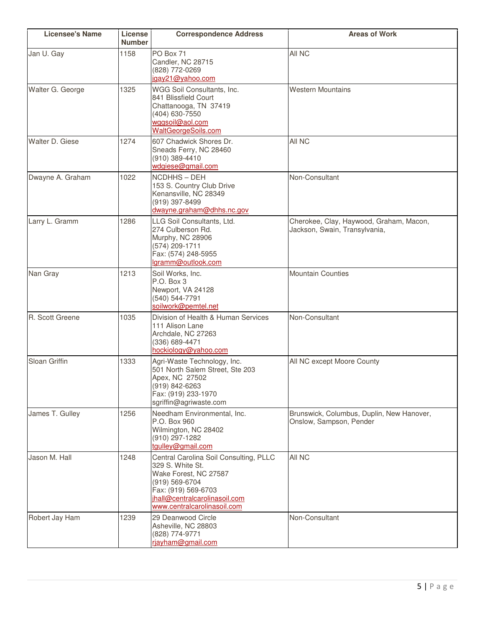| <b>Licensee's Name</b> | License<br><b>Number</b> | <b>Correspondence Address</b>                                                                                                                                                                | <b>Areas of Work</b>                                                     |
|------------------------|--------------------------|----------------------------------------------------------------------------------------------------------------------------------------------------------------------------------------------|--------------------------------------------------------------------------|
| Jan U. Gay             | 1158                     | PO Box 71<br>Candler, NC 28715<br>(828) 772-0269<br>igay21@yahoo.com                                                                                                                         | All NC                                                                   |
| Walter G. George       | 1325                     | WGG Soil Consultants, Inc.<br>841 Blissfield Court<br>Chattanooga, TN 37419<br>(404) 630-7550<br>wggsoil@aol.com<br><b>WaltGeorgeSoils.com</b>                                               | <b>Western Mountains</b>                                                 |
| Walter D. Giese        | 1274                     | 607 Chadwick Shores Dr.<br>Sneads Ferry, NC 28460<br>(910) 389-4410<br>wdgiese@gmail.com                                                                                                     | All NC                                                                   |
| Dwayne A. Graham       | 1022                     | NCDHHS-DEH<br>153 S. Country Club Drive<br>Kenansville, NC 28349<br>(919) 397-8499<br>dwayne.graham@dhhs.nc.gov                                                                              | Non-Consultant                                                           |
| Larry L. Gramm         | 1286                     | LLG Soil Consultants, Ltd.<br>274 Culberson Rd.<br>Murphy, NC 28906<br>(574) 209-1711<br>Fax: (574) 248-5955<br>lgramm@outlook.com                                                           | Cherokee, Clay, Haywood, Graham, Macon,<br>Jackson, Swain, Transylvania, |
| Nan Gray               | 1213                     | Soil Works, Inc.<br>P.O. Box 3<br>Newport, VA 24128<br>(540) 544-7791<br>soilwork@pemtel.net                                                                                                 | <b>Mountain Counties</b>                                                 |
| R. Scott Greene        | 1035                     | Division of Health & Human Services<br>111 Alison Lane<br>Archdale, NC 27263<br>(336) 689-4471<br>hockiology@yahoo.com                                                                       | Non-Consultant                                                           |
| Sloan Griffin          | 1333                     | Agri-Waste Technology, Inc.<br>501 North Salem Street, Ste 203<br>Apex, NC 27502<br>$(919)$ 842-6263<br>Fax: (919) 233-1970<br>sgriffin@agriwaste.com                                        | All NC except Moore County                                               |
| James T. Gulley        | 1256                     | Needham Environmental, Inc.<br>P.O. Box 960<br>Wilmington, NC 28402<br>(910) 297-1282<br>tgulley@gmail.com                                                                                   | Brunswick, Columbus, Duplin, New Hanover,<br>Onslow, Sampson, Pender     |
| Jason M. Hall          | 1248                     | Central Carolina Soil Consulting, PLLC<br>329 S. White St.<br>Wake Forest, NC 27587<br>(919) 569-6704<br>Fax: (919) 569-6703<br>ihall@centralcarolinasoil.com<br>www.centralcarolinasoil.com | All NC                                                                   |
| Robert Jay Ham         | 1239                     | 29 Deanwood Circle<br>Asheville, NC 28803<br>(828) 774-9771<br>rjayham@gmail.com                                                                                                             | Non-Consultant                                                           |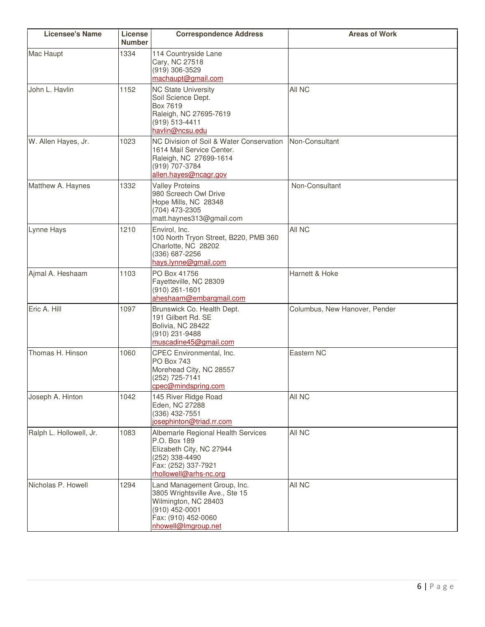| <b>Licensee's Name</b>  | License<br><b>Number</b> | <b>Correspondence Address</b>                                                                                                                         | <b>Areas of Work</b>          |
|-------------------------|--------------------------|-------------------------------------------------------------------------------------------------------------------------------------------------------|-------------------------------|
| Mac Haupt               | 1334                     | 114 Countryside Lane<br>Cary, NC 27518<br>(919) 306-3529<br>machaupt@gmail.com                                                                        |                               |
| John L. Havlin          | 1152                     | <b>NC State University</b><br>Soil Science Dept.<br>Box 7619<br>Raleigh, NC 27695-7619<br>(919) 513-4411<br>havlin@ncsu.edu                           | All NC                        |
| W. Allen Hayes, Jr.     | 1023                     | NC Division of Soil & Water Conservation<br>1614 Mail Service Center.<br>Raleigh, NC 27699-1614<br>(919) 707-3784<br>allen.hayes@ncagr.gov            | Non-Consultant                |
| Matthew A. Haynes       | 1332                     | <b>Valley Proteins</b><br>980 Screech Owl Drive<br>Hope Mills, NC 28348<br>(704) 473-2305<br>matt.haynes313@gmail.com                                 | Non-Consultant                |
| Lynne Hays              | 1210                     | Envirol, Inc.<br>100 North Tryon Street, B220, PMB 360<br>Charlotte, NC 28202<br>(336) 687-2256<br>hays.lynne@gmail.com                               | All NC                        |
| Ajmal A. Heshaam        | 1103                     | PO Box 41756<br>Fayetteville, NC 28309<br>(910) 261-1601<br>aheshaam@embarqmail.com                                                                   | Harnett & Hoke                |
| Eric A. Hill            | 1097                     | Brunswick Co. Health Dept.<br>191 Gilbert Rd. SE<br>Bolivia, NC 28422<br>(910) 231-9488<br>muscadine45@gmail.com                                      | Columbus, New Hanover, Pender |
| Thomas H. Hinson        | 1060                     | CPEC Environmental, Inc.<br><b>PO Box 743</b><br>Morehead City, NC 28557<br>(252) 725-7141<br>cpec@mindspring.com                                     | Eastern NC                    |
| Joseph A. Hinton        | 1042                     | 145 River Ridge Road<br>Eden, NC 27288<br>(336) 432-7551<br>josephinton@triad.rr.com                                                                  | All NC                        |
| Ralph L. Hollowell, Jr. | 1083                     | Albemarle Regional Health Services<br>P.O. Box 189<br>Elizabeth City, NC 27944<br>(252) 338-4490<br>Fax: (252) 337-7921<br>rhollowell@arhs-nc.org     | All NC                        |
| Nicholas P. Howell      | 1294                     | Land Management Group, Inc.<br>3805 Wrightsville Ave., Ste 15<br>Wilmington, NC 28403<br>(910) 452-0001<br>Fax: (910) 452-0060<br>nhowell@Imgroup.net | All NC                        |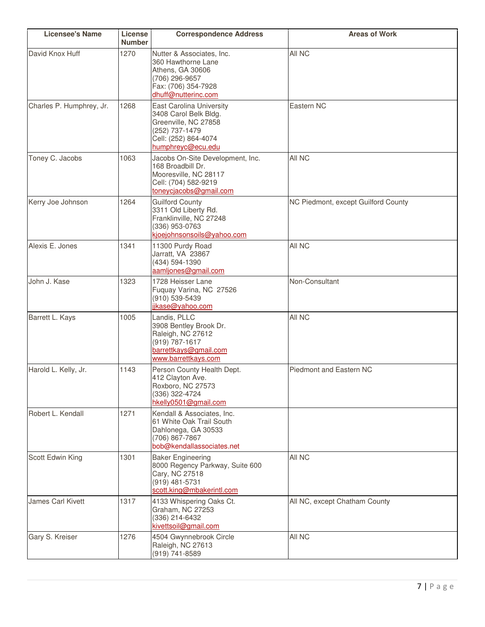| <b>Licensee's Name</b>   | License<br><b>Number</b> | <b>Correspondence Address</b>                                                                                                                   | <b>Areas of Work</b>                |
|--------------------------|--------------------------|-------------------------------------------------------------------------------------------------------------------------------------------------|-------------------------------------|
| David Knox Huff          | 1270                     | Nutter & Associates, Inc.<br>360 Hawthorne Lane<br>Athens, GA 30606<br>(706) 296-9657<br>Fax: (706) 354-7928<br>dhuff@nutterinc.com             | All NC                              |
| Charles P. Humphrey, Jr. | 1268                     | <b>East Carolina University</b><br>3408 Carol Belk Bldg.<br>Greenville, NC 27858<br>(252) 737-1479<br>Cell: (252) 864-4074<br>humphreyc@ecu.edu | Eastern NC                          |
| Toney C. Jacobs          | 1063                     | Jacobs On-Site Development, Inc.<br>168 Broadbill Dr.<br>Mooresville, NC 28117<br>Cell: (704) 582-9219<br>toneycjacobs@gmail.com                | All NC                              |
| Kerry Joe Johnson        | 1264                     | <b>Guilford County</b><br>3311 Old Liberty Rd.<br>Franklinville, NC 27248<br>(336) 953-0763<br>kjoejohnsonsoils@yahoo.com                       | NC Piedmont, except Guilford County |
| Alexis E. Jones          | 1341                     | 11300 Purdy Road<br>Jarratt, VA 23867<br>(434) 594-1390<br>aamljones@gmail.com                                                                  | All NC                              |
| John J. Kase             | 1323                     | 1728 Heisser Lane<br>Fuquay Varina, NC 27526<br>(910) 539-5439<br>jikase@yahoo.com                                                              | Non-Consultant                      |
| Barrett L. Kays          | 1005                     | Landis, PLLC<br>3908 Bentley Brook Dr.<br>Raleigh, NC 27612<br>(919) 787-1617<br>barrettkays@gmail.com<br>www.barrettkays.com                   | All NC                              |
| Harold L. Kelly, Jr.     | 1143                     | Person County Health Dept.<br>412 Clayton Ave.<br>Roxboro, NC 27573<br>(336) 322-4724<br>hkelly0501@gmail.com                                   | Piedmont and Eastern NC             |
| Robert L. Kendall        | 1271                     | Kendall & Associates, Inc.<br>61 White Oak Trail South<br>Dahlonega, GA 30533<br>(706) 867-7867<br>bob@kendallassociates.net                    |                                     |
| Scott Edwin King         | 1301                     | <b>Baker Engineering</b><br>8000 Regency Parkway, Suite 600<br>Cary, NC 27518<br>(919) 481-5731<br>scott.king@mbakerintl.com                    | All NC                              |
| James Carl Kivett        | 1317                     | 4133 Whispering Oaks Ct.<br>Graham, NC 27253<br>(336) 214-6432<br>kivettsoil@gmail.com                                                          | All NC, except Chatham County       |
| Gary S. Kreiser          | 1276                     | 4504 Gwynnebrook Circle<br>Raleigh, NC 27613<br>(919) 741-8589                                                                                  | All NC                              |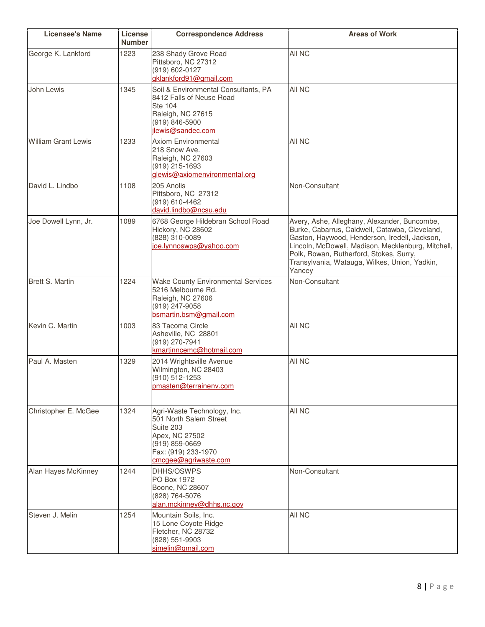| <b>Licensee's Name</b>     | License<br><b>Number</b> | <b>Correspondence Address</b>                                                                                                                           | <b>Areas of Work</b>                                                                                                                                                                                                                                                                                        |
|----------------------------|--------------------------|---------------------------------------------------------------------------------------------------------------------------------------------------------|-------------------------------------------------------------------------------------------------------------------------------------------------------------------------------------------------------------------------------------------------------------------------------------------------------------|
| George K. Lankford         | 1223                     | 238 Shady Grove Road<br>Pittsboro, NC 27312<br>(919) 602-0127<br>gklankford91@gmail.com                                                                 | All NC                                                                                                                                                                                                                                                                                                      |
| John Lewis                 | 1345                     | Soil & Environmental Consultants, PA<br>8412 Falls of Neuse Road<br><b>Ste 104</b><br>Raleigh, NC 27615<br>(919) 846-5900<br>jlewis@sandec.com          | All NC                                                                                                                                                                                                                                                                                                      |
| <b>William Grant Lewis</b> | 1233                     | <b>Axiom Environmental</b><br>218 Snow Ave.<br>Raleigh, NC 27603<br>(919) 215-1693<br>glewis@axiomenvironmental.org                                     | All NC                                                                                                                                                                                                                                                                                                      |
| David L. Lindbo            | 1108                     | 205 Anolis<br>Pittsboro, NC 27312<br>(919) 610-4462<br>david.lindbo@ncsu.edu                                                                            | Non-Consultant                                                                                                                                                                                                                                                                                              |
| Joe Dowell Lynn, Jr.       | 1089                     | 6768 George Hildebran School Road<br>Hickory, NC 28602<br>(828) 310-0089<br>joe.lynnoswps@yahoo.com                                                     | Avery, Ashe, Alleghany, Alexander, Buncombe,<br>Burke, Cabarrus, Caldwell, Catawba, Cleveland,<br>Gaston, Haywood, Henderson, Iredell, Jackson,<br>Lincoln, McDowell, Madison, Mecklenburg, Mitchell,<br>Polk, Rowan, Rutherford, Stokes, Surry,<br>Transylvania, Watauga, Wilkes, Union, Yadkin,<br>Yancey |
| <b>Brett S. Martin</b>     | 1224                     | <b>Wake County Environmental Services</b><br>5216 Melbourne Rd.<br>Raleigh, NC 27606<br>(919) 247-9058<br>bsmartin.bsm@gmail.com                        | Non-Consultant                                                                                                                                                                                                                                                                                              |
| Kevin C. Martin            | 1003                     | 83 Tacoma Circle<br>Asheville, NC 28801<br>(919) 270-7941<br>kmartinncemc@hotmail.com                                                                   | All NC                                                                                                                                                                                                                                                                                                      |
| Paul A. Masten             | 1329                     | 2014 Wrightsville Avenue<br>Wilmington, NC 28403<br>(910) 512-1253<br>pmasten@terrainenv.com                                                            | All NC                                                                                                                                                                                                                                                                                                      |
| Christopher E. McGee       | 1324                     | Agri-Waste Technology, Inc.<br>501 North Salem Street<br>Suite 203<br>Apex, NC 27502<br>$(919)$ 859-0669<br>Fax: (919) 233-1970<br>cmcgee@agriwaste.com | All NC                                                                                                                                                                                                                                                                                                      |
| Alan Hayes McKinney        | 1244                     | DHHS/OSWPS<br>PO Box 1972<br>Boone, NC 28607<br>(828) 764-5076<br>alan.mckinney@dhhs.nc.gov                                                             | Non-Consultant                                                                                                                                                                                                                                                                                              |
| Steven J. Melin            | 1254                     | Mountain Soils, Inc.<br>15 Lone Coyote Ridge<br>Fletcher, NC 28732<br>(828) 551-9903<br>simelin@gmail.com                                               | All NC                                                                                                                                                                                                                                                                                                      |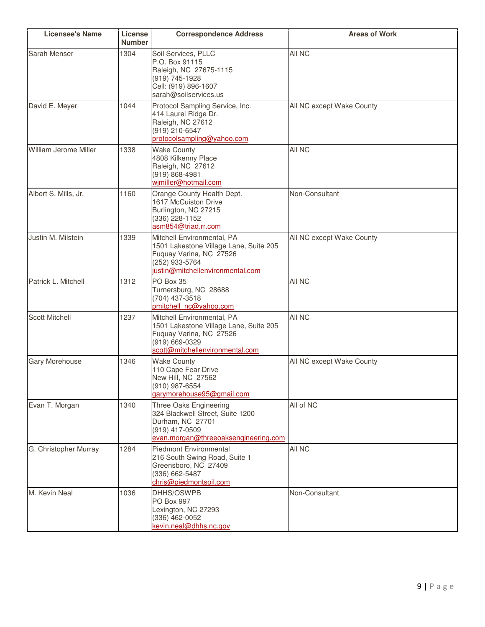| <b>Licensee's Name</b> | License<br><b>Number</b> | <b>Correspondence Address</b>                                                                                                                         | <b>Areas of Work</b>      |
|------------------------|--------------------------|-------------------------------------------------------------------------------------------------------------------------------------------------------|---------------------------|
| Sarah Menser           | 1304                     | Soil Services, PLLC<br>P.O. Box 91115<br>Raleigh, NC 27675-1115<br>(919) 745-1928<br>Cell: (919) 896-1607<br>sarah@soilservices.us                    | All NC                    |
| David E. Meyer         | 1044                     | Protocol Sampling Service, Inc.<br>414 Laurel Ridge Dr.<br>Raleigh, NC 27612<br>(919) 210-6547<br>protocolsampling@yahoo.com                          | All NC except Wake County |
| William Jerome Miller  | 1338                     | <b>Wake County</b><br>4808 Kilkenny Place<br>Raleigh, NC 27612<br>(919) 868-4981<br>wimiller@hotmail.com                                              | All NC                    |
| Albert S. Mills, Jr.   | 1160                     | Orange County Health Dept.<br>1617 McCuiston Drive<br>Burlington, NC 27215<br>(336) 228-1152<br>asm854@triad.rr.com                                   | Non-Consultant            |
| Justin M. Milstein     | 1339                     | Mitchell Environmental, PA<br>1501 Lakestone Village Lane, Suite 205<br>Fuquay Varina, NC 27526<br>(252) 933-5764<br>justin@mitchellenvironmental.com | All NC except Wake County |
| Patrick L. Mitchell    | 1312                     | PO Box 35<br>Turnersburg, NC 28688<br>(704) 437-3518<br>pmitchell nc@yahoo.com                                                                        | All NC                    |
| <b>Scott Mitchell</b>  | 1237                     | Mitchell Environmental, PA<br>1501 Lakestone Village Lane, Suite 205<br>Fuquay Varina, NC 27526<br>(919) 669-0329<br>scott@mitchellenvironmental.com  | All NC                    |
| <b>Gary Morehouse</b>  | 1346                     | <b>Wake County</b><br>110 Cape Fear Drive<br>New Hill, NC 27562<br>(910) 987-6554<br>garymorehouse95@gmail.com                                        | All NC except Wake County |
| Evan T. Morgan         | 1340                     | Three Oaks Engineering<br>324 Blackwell Street, Suite 1200<br>Durham, NC 27701<br>(919) 417-0509<br>evan.morgan@threeoaksengineering.com              | All of NC                 |
| G. Christopher Murray  | 1284                     | <b>Piedmont Environmental</b><br>216 South Swing Road, Suite 1<br>Greensboro, NC 27409<br>(336) 662-5487<br>chris@piedmontsoil.com                    | All NC                    |
| M. Kevin Neal          | 1036                     | DHHS/OSWPB<br>PO Box 997<br>Lexington, NC 27293<br>(336) 462-0052<br>kevin.neal@dhhs.nc.gov                                                           | Non-Consultant            |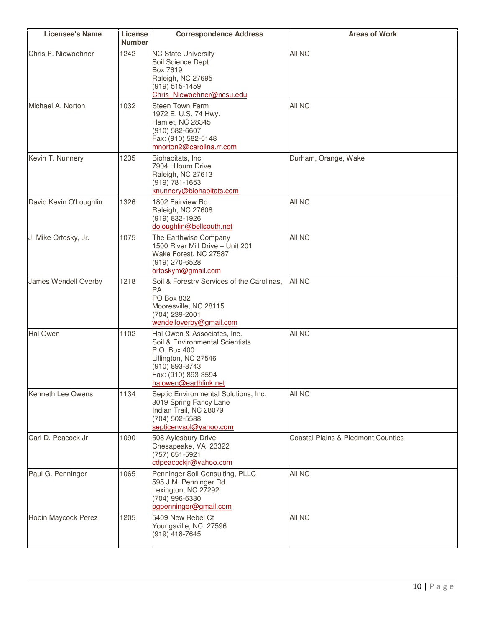| <b>Licensee's Name</b> | License<br><b>Number</b> | <b>Correspondence Address</b>                                                                                                                                            | <b>Areas of Work</b>                          |
|------------------------|--------------------------|--------------------------------------------------------------------------------------------------------------------------------------------------------------------------|-----------------------------------------------|
| Chris P. Niewoehner    | 1242                     | <b>NC State University</b><br>Soil Science Dept.<br>Box 7619<br>Raleigh, NC 27695<br>(919) 515-1459<br>Chris Niewoehner@ncsu.edu                                         | All NC                                        |
| Michael A. Norton      | 1032                     | Steen Town Farm<br>1972 E. U.S. 74 Hwy.<br>Hamlet, NC 28345<br>(910) 582-6607<br>Fax: (910) 582-5148<br>mnorton2@carolina.rr.com                                         | All NC                                        |
| Kevin T. Nunnery       | 1235                     | Biohabitats, Inc.<br>7904 Hilburn Drive<br>Raleigh, NC 27613<br>(919) 781-1653<br>knunnery@biohabitats.com                                                               | Durham, Orange, Wake                          |
| David Kevin O'Loughlin | 1326                     | 1802 Fairview Rd.<br>Raleigh, NC 27608<br>(919) 832-1926<br>doloughlin@bellsouth.net                                                                                     | All NC                                        |
| J. Mike Ortosky, Jr.   | 1075                     | The Earthwise Company<br>1500 River Mill Drive - Unit 201<br>Wake Forest, NC 27587<br>(919) 270-6528<br>ortoskym@gmail.com                                               | All NC                                        |
| James Wendell Overby   | 1218                     | Soil & Forestry Services of the Carolinas,<br><b>PA</b><br>PO Box 832<br>Mooresville, NC 28115<br>(704) 239-2001<br>wendelloverby@gmail.com                              | All NC                                        |
| <b>Hal Owen</b>        | 1102                     | Hal Owen & Associates, Inc.<br>Soil & Environmental Scientists<br>P.O. Box 400<br>Lillington, NC 27546<br>(910) 893-8743<br>Fax: (910) 893-3594<br>halowen@earthlink.net | All NC                                        |
| Kenneth Lee Owens      | 1134                     | Septic Environmental Solutions, Inc.<br>3019 Spring Fancy Lane<br>Indian Trail, NC 28079<br>(704) 502-5588<br>septicenvsol@yahoo.com                                     | All NC                                        |
| Carl D. Peacock Jr     | 1090                     | 508 Aylesbury Drive<br>Chesapeake, VA 23322<br>(757) 651-5921<br>cdpeacockjr@yahoo.com                                                                                   | <b>Coastal Plains &amp; Piedmont Counties</b> |
| Paul G. Penninger      | 1065                     | Penninger Soil Consulting, PLLC<br>595 J.M. Penninger Rd.<br>Lexington, NC 27292<br>(704) 996-6330<br>pgpenninger@gmail.com                                              | All NC                                        |
| Robin Maycock Perez    | 1205                     | 5409 New Rebel Ct<br>Youngsville, NC 27596<br>(919) 418-7645                                                                                                             | All NC                                        |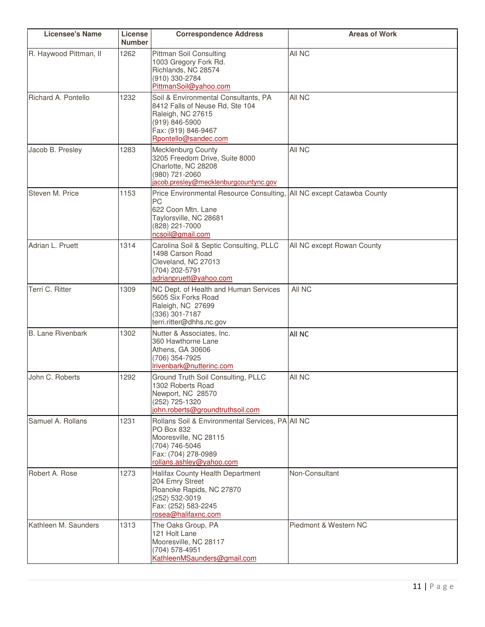| <b>Licensee's Name</b>   | License<br><b>Number</b> | <b>Correspondence Address</b>                                                                                                                                 | <b>Areas of Work</b>         |
|--------------------------|--------------------------|---------------------------------------------------------------------------------------------------------------------------------------------------------------|------------------------------|
| R. Haywood Pittman, II   | 1262                     | <b>Pittman Soil Consulting</b><br>1003 Gregory Fork Rd.<br>Richlands, NC 28574<br>(910) 330-2784<br>PittmanSoil@yahoo.com                                     | All NC                       |
| Richard A. Pontello      | 1232                     | Soil & Environmental Consultants, PA<br>8412 Falls of Neuse Rd, Ste 104<br>Raleigh, NC 27615<br>(919) 846-5900<br>Fax: (919) 846-9467<br>Rpontello@sandec.com | All NC                       |
| Jacob B. Presley         | 1283                     | <b>Mecklenburg County</b><br>3205 Freedom Drive, Suite 8000<br>Charlotte, NC 28208<br>(980) 721-2060<br>jacob.presley@mecklenburgcountync.gov                 | All NC                       |
| Steven M. Price          | 1153                     | Price Environmental Resource Consulting,<br><b>PC</b><br>622 Coon Mtn. Lane<br>Taylorsville, NC 28681<br>(828) 221-7000<br>ncsoil@gmail.com                   | All NC except Catawba County |
| Adrian L. Pruett         | 1314                     | Carolina Soil & Septic Consulting, PLLC<br>1498 Carson Road<br>Cleveland, NC 27013<br>(704) 202-5791<br>adrianpruett@yahoo.com                                | All NC except Rowan County   |
| Terri C. Ritter          | 1309                     | NC Dept. of Health and Human Services<br>5605 Six Forks Road<br>Raleigh, NC 27699<br>(336) 301-7187<br>terri.ritter@dhhs.nc.gov                               | All NC                       |
| <b>B. Lane Rivenbark</b> | 1302                     | Nutter & Associates, Inc.<br>360 Hawthorne Lane<br>Athens, GA 30606<br>(706) 354-7925<br>Irivenbark@nutterinc.com                                             | All NC                       |
| John C. Roberts          | 1292                     | Ground Truth Soil Consulting, PLLC<br>1302 Roberts Road<br>Newport, NC 28570<br>(252) 725-1320<br>john.roberts@groundtruthsoil.com                            | All NC                       |
| Samuel A. Rollans        | 1231                     | Rollans Soil & Environmental Services, PA All NC<br>PO Box 832<br>Mooresville, NC 28115<br>(704) 746-5046<br>Fax: (704) 278-0989<br>rollans.ashley@yahoo.com  |                              |
| Robert A. Rose           | 1273                     | Halifax County Health Department<br>204 Emry Street<br>Roanoke Rapids, NC 27870<br>(252) 532-3019<br>Fax: (252) 583-2245<br>rosea@halifaxnc.com               | Non-Consultant               |
| Kathleen M. Saunders     | 1313                     | The Oaks Group, PA<br>121 Holt Lane<br>Mooresville, NC 28117<br>(704) 578-4951<br>KathleenMSaunders@gmail.com                                                 | Piedmont & Western NC        |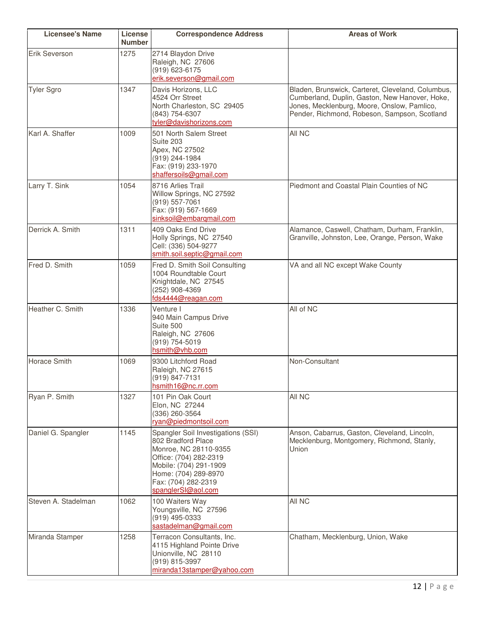| <b>Licensee's Name</b> | License<br><b>Number</b> | <b>Correspondence Address</b>                                                                                                                                                                              | <b>Areas of Work</b>                                                                                                                                                                               |
|------------------------|--------------------------|------------------------------------------------------------------------------------------------------------------------------------------------------------------------------------------------------------|----------------------------------------------------------------------------------------------------------------------------------------------------------------------------------------------------|
| <b>Erik Severson</b>   | 1275                     | 2714 Blaydon Drive<br>Raleigh, NC 27606<br>(919) 623-6175<br>erik.severson@gmail.com                                                                                                                       |                                                                                                                                                                                                    |
| <b>Tyler Sgro</b>      | 1347                     | Davis Horizons, LLC<br>4524 Orr Street<br>North Charleston, SC 29405<br>(843) 754-6307<br>tyler@davishorizons.com                                                                                          | Bladen, Brunswick, Carteret, Cleveland, Columbus,<br>Cumberland, Duplin, Gaston, New Hanover, Hoke,<br>Jones, Mecklenburg, Moore, Onslow, Pamlico,<br>Pender, Richmond, Robeson, Sampson, Scotland |
| Karl A. Shaffer        | 1009                     | 501 North Salem Street<br>Suite 203<br>Apex, NC 27502<br>(919) 244-1984<br>Fax: (919) 233-1970<br>shaffersoils@gmail.com                                                                                   | All NC                                                                                                                                                                                             |
| Larry T. Sink          | 1054                     | 8716 Arlies Trail<br>Willow Springs, NC 27592<br>(919) 557-7061<br>Fax: (919) 567-1669<br>sinksoil@embargmail.com                                                                                          | Piedmont and Coastal Plain Counties of NC                                                                                                                                                          |
| Derrick A. Smith       | 1311                     | 409 Oaks End Drive<br>Holly Springs, NC 27540<br>Cell: (336) 504-9277<br>smith.soil.septic@gmail.com                                                                                                       | Alamance, Caswell, Chatham, Durham, Franklin,<br>Granville, Johnston, Lee, Orange, Person, Wake                                                                                                    |
| Fred D. Smith          | 1059                     | Fred D. Smith Soil Consulting<br>1004 Roundtable Court<br>Knightdale, NC 27545<br>(252) 908-4369<br>fds4444@reagan.com                                                                                     | VA and all NC except Wake County                                                                                                                                                                   |
| Heather C. Smith       | 1336                     | Venture I<br>940 Main Campus Drive<br>Suite 500<br>Raleigh, NC 27606<br>(919) 754-5019<br>hsmith@vhb.com                                                                                                   | All of NC                                                                                                                                                                                          |
| <b>Horace Smith</b>    | 1069                     | 9300 Litchford Road<br>Raleigh, NC 27615<br>(919) 847-7131<br>hsmith16@nc.rr.com                                                                                                                           | Non-Consultant                                                                                                                                                                                     |
| Ryan P. Smith          | 1327                     | 101 Pin Oak Court<br>Elon, NC 27244<br>(336) 260-3564<br>ryan@piedmontsoil.com                                                                                                                             | All NC                                                                                                                                                                                             |
| Daniel G. Spangler     | 1145                     | Spangler Soil Investigations (SSI)<br>802 Bradford Place<br>Monroe, NC 28110-9355<br>Office: (704) 282-2319<br>Mobile: (704) 291-1909<br>Home: (704) 289-8970<br>Fax: (704) 282-2319<br>spanglerSI@aol.com | Anson, Cabarrus, Gaston, Cleveland, Lincoln,<br>Mecklenburg, Montgomery, Richmond, Stanly,<br>Union                                                                                                |
| Steven A. Stadelman    | 1062                     | 100 Waiters Way<br>Youngsville, NC 27596<br>(919) 495-0333<br>sastadelman@gmail.com                                                                                                                        | All NC                                                                                                                                                                                             |
| Miranda Stamper        | 1258                     | Terracon Consultants, Inc.<br>4115 Highland Pointe Drive<br>Unionville, NC 28110<br>(919) 815-3997<br>miranda13stamper@yahoo.com                                                                           | Chatham, Mecklenburg, Union, Wake                                                                                                                                                                  |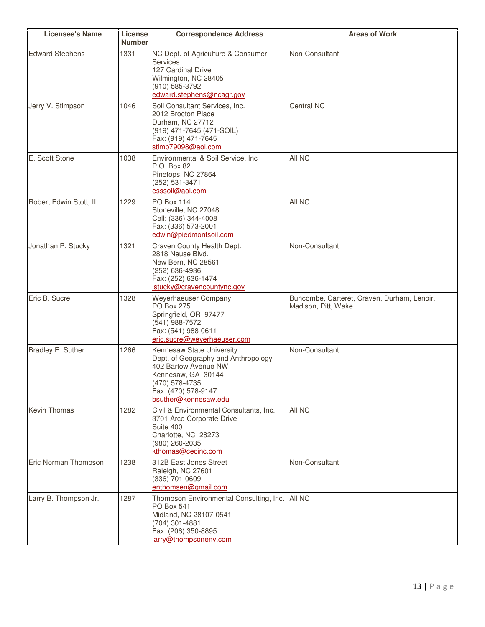| <b>Licensee's Name</b> | License<br><b>Number</b> | <b>Correspondence Address</b>                                                                                                                                                   | <b>Areas of Work</b>                                               |
|------------------------|--------------------------|---------------------------------------------------------------------------------------------------------------------------------------------------------------------------------|--------------------------------------------------------------------|
| <b>Edward Stephens</b> | 1331                     | NC Dept. of Agriculture & Consumer<br><b>Services</b><br>127 Cardinal Drive<br>Wilmington, NC 28405<br>(910) 585-3792<br>edward.stephens@ncagr.gov                              | Non-Consultant                                                     |
| Jerry V. Stimpson      | 1046                     | Soil Consultant Services, Inc.<br>2012 Brocton Place<br>Durham, NC 27712<br>(919) 471-7645 (471-SOIL)<br>Fax: (919) 471-7645<br>stimp79098@aol.com                              | Central NC                                                         |
| E. Scott Stone         | 1038                     | Environmental & Soil Service, Inc<br>P.O. Box 82<br>Pinetops, NC 27864<br>(252) 531-3471<br>esssoil@aol.com                                                                     | All NC                                                             |
| Robert Edwin Stott, II | 1229                     | <b>PO Box 114</b><br>Stoneville, NC 27048<br>Cell: (336) 344-4008<br>Fax: (336) 573-2001<br>edwin@piedmontsoil.com                                                              | All NC                                                             |
| Jonathan P. Stucky     | 1321                     | Craven County Health Dept.<br>2818 Neuse Blvd.<br>New Bern, NC 28561<br>(252) 636-4936<br>Fax: (252) 636-1474<br>istucky@cravencountync.gov                                     | Non-Consultant                                                     |
| Eric B. Sucre          | 1328                     | Weyerhaeuser Company<br><b>PO Box 275</b><br>Springfield, OR 97477<br>(541) 988-7572<br>Fax: (541) 988-0611<br>eric.sucre@weyerhaeuser.com                                      | Buncombe, Carteret, Craven, Durham, Lenoir,<br>Madison, Pitt, Wake |
| Bradley E. Suther      | 1266                     | Kennesaw State University<br>Dept. of Geography and Anthropology<br>402 Bartow Avenue NW<br>Kennesaw, GA 30144<br>(470) 578-4735<br>Fax: (470) 578-9147<br>bsuther@kennesaw.edu | Non-Consultant                                                     |
| <b>Kevin Thomas</b>    | 1282                     | Civil & Environmental Consultants, Inc.<br>3701 Arco Corporate Drive<br>Suite 400<br>Charlotte, NC 28273<br>(980) 260-2035<br>kthomas@cecinc.com                                | All NC                                                             |
| Eric Norman Thompson   | 1238                     | 312B East Jones Street<br>Raleigh, NC 27601<br>(336) 701-0609<br>enthomsen@gmail.com                                                                                            | Non-Consultant                                                     |
| Larry B. Thompson Jr.  | 1287                     | Thompson Environmental Consulting, Inc.<br><b>PO Box 541</b><br>Midland, NC 28107-0541<br>(704) 301-4881<br>Fax: (206) 350-8895<br>larry@thompsonenv.com                        | <b>All NC</b>                                                      |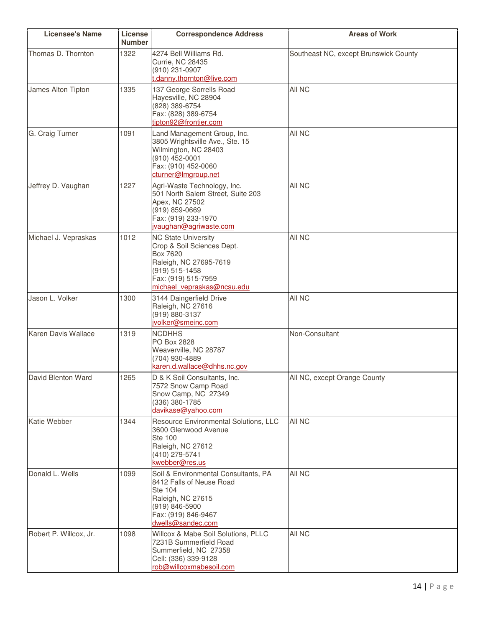| <b>Licensee's Name</b>     | License<br><b>Number</b> | <b>Correspondence Address</b>                                                                                                                                         | <b>Areas of Work</b>                  |
|----------------------------|--------------------------|-----------------------------------------------------------------------------------------------------------------------------------------------------------------------|---------------------------------------|
| Thomas D. Thornton         | 1322                     | 4274 Bell Williams Rd.<br><b>Currie, NC 28435</b><br>(910) 231-0907<br>t.danny.thornton@live.com                                                                      | Southeast NC, except Brunswick County |
| James Alton Tipton         | 1335                     | 137 George Sorrells Road<br>Hayesville, NC 28904<br>(828) 389-6754<br>Fax: (828) 389-6754<br>tipton92@frontier.com                                                    | All NC                                |
| G. Craig Turner            | 1091                     | Land Management Group, Inc.<br>3805 Wrightsville Ave., Ste. 15<br>Wilmington, NC 28403<br>(910) 452-0001<br>Fax: (910) 452-0060<br>cturner@Imgroup.net                | All NC                                |
| Jeffrey D. Vaughan         | 1227                     | Agri-Waste Technology, Inc.<br>501 North Salem Street, Suite 203<br>Apex, NC 27502<br>(919) 859-0669<br>Fax: (919) 233-1970<br>jvaughan@agriwaste.com                 | All NC                                |
| Michael J. Vepraskas       | 1012                     | <b>NC State University</b><br>Crop & Soil Sciences Dept.<br>Box 7620<br>Raleigh, NC 27695-7619<br>(919) 515-1458<br>Fax: (919) 515-7959<br>michael vepraskas@ncsu.edu | All NC                                |
| Jason L. Volker            | 1300                     | 3144 Daingerfield Drive<br>Raleigh, NC 27616<br>(919) 880-3137<br>jvolker@smeinc.com                                                                                  | All NC                                |
| <b>Karen Davis Wallace</b> | 1319                     | <b>NCDHHS</b><br>PO Box 2828<br>Weaverville, NC 28787<br>(704) 930-4889<br>karen.d.wallace@dhhs.nc.gov                                                                | Non-Consultant                        |
| David Blenton Ward         | 1265                     | D & K Soil Consultants, Inc.<br>7572 Snow Camp Road<br>Snow Camp, NC 27349<br>(336) 380-1785<br>davikase@yahoo.com                                                    | All NC, except Orange County          |
| Katie Webber               | 1344                     | Resource Environmental Solutions, LLC<br>3600 Glenwood Avenue<br><b>Ste 100</b><br>Raleigh, NC 27612<br>(410) 279-5741<br>kwebber@res.us                              | All NC                                |
| Donald L. Wells            | 1099                     | Soil & Environmental Consultants, PA<br>8412 Falls of Neuse Road<br><b>Ste 104</b><br>Raleigh, NC 27615<br>(919) 846-5900<br>Fax: (919) 846-9467<br>dwells@sandec.com | All NC                                |
| Robert P. Willcox, Jr.     | 1098                     | Willcox & Mabe Soil Solutions, PLLC<br>7231B Summerfield Road<br>Summerfield, NC 27358<br>Cell: (336) 339-9128<br>rob@willcoxmabesoil.com                             | All NC                                |